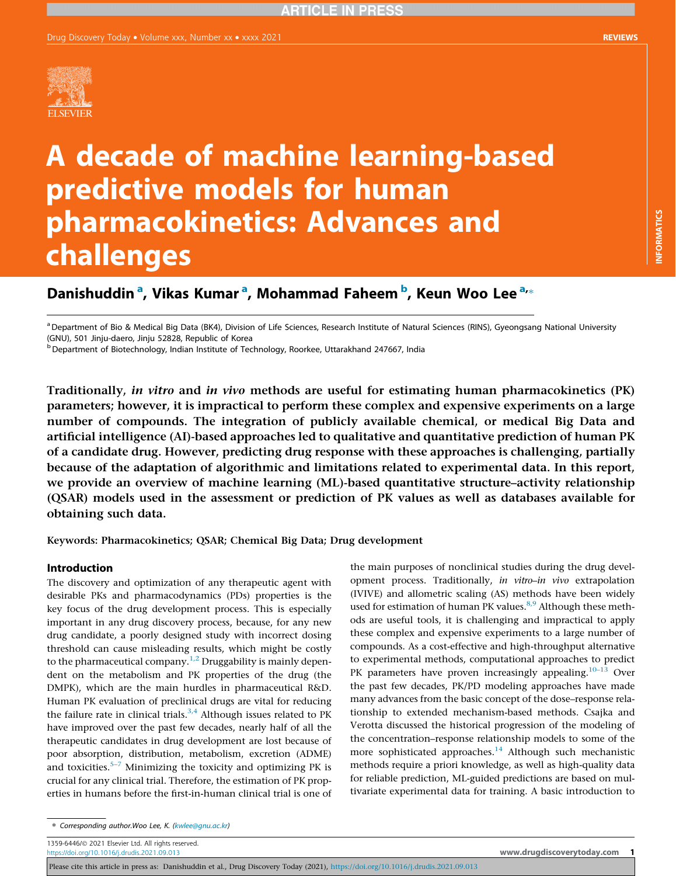INFORMATICS

**INFORMATICS** 



# A decade of machine learning-based predictive models for human pharmacokinetics: Advances and challenges

## Danishuddin <sup>a</sup>, Vikas Kumar <sup>a</sup>, Mohammad Faheem <sup>b</sup>, Keun Woo Lee <sup>a,</sup>\*

a Department of Bio & Medical Big Data (BK4), Division of Life Sciences, Research Institute of Natural Sciences (RINS), Gyeongsang National University (GNU), 501 Jinju-daero, Jinju 52828, Republic of Korea

<sup>b</sup> Department of Biotechnology, Indian Institute of Technology, Roorkee, Uttarakhand 247667, India

Traditionally, in vitro and in vivo methods are useful for estimating human pharmacokinetics (PK) parameters; however, it is impractical to perform these complex and expensive experiments on a large number of compounds. The integration of publicly available chemical, or medical Big Data and artificial intelligence (AI)-based approaches led to qualitative and quantitative prediction of human PK of a candidate drug. However, predicting drug response with these approaches is challenging, partially because of the adaptation of algorithmic and limitations related to experimental data. In this report, we provide an overview of machine learning (ML)-based quantitative structure–activity relationship (QSAR) models used in the assessment or prediction of PK values as well as databases available for obtaining such data.

Keywords: Pharmacokinetics; QSAR; Chemical Big Data; Drug development

#### Introduction

The discovery and optimization of any therapeutic agent with desirable PKs and pharmacodynamics (PDs) properties is the key focus of the drug development process. This is especially important in any drug discovery process, because, for any new drug candidate, a poorly designed study with incorrect dosing threshold can cause misleading results, which might be costly to the pharmaceutical company.<sup>[1,2](#page-6-0)</sup> Druggability is mainly dependent on the metabolism and PK properties of the drug (the DMPK), which are the main hurdles in pharmaceutical R&D. Human PK evaluation of preclinical drugs are vital for reducing the failure rate in clinical trials. $3,4$  Although issues related to PK have improved over the past few decades, nearly half of all the therapeutic candidates in drug development are lost because of poor absorption, distribution, metabolism, excretion (ADME) and toxicities.<sup>5–[7](#page-6-0)</sup> Minimizing the toxicity and optimizing PK is crucial for any clinical trial. Therefore, the estimation of PK properties in humans before the first-in-human clinical trial is one of the main purposes of nonclinical studies during the drug devel-

1359-6446/ 2021 Elsevier Ltd. All rights reserved.

<https://doi.org/10.1016/j.drudis.2021.09.013> www.drugd**iscoverytoday.com 1996.000 www.drugdiscoverytoday.com** 

opment process. Traditionally, in vitro–in vivo extrapolation (IVIVE) and allometric scaling (AS) methods have been widely used for estimation of human PK values.<sup>8,9</sup> Although these methods are useful tools, it is challenging and impractical to apply these complex and expensive experiments to a large number of compounds. As a cost-effective and high-throughput alternative to experimental methods, computational approaches to predict PK parameters have proven increasingly appealing.<sup>10–13</sup> Over the past few decades, PK/PD modeling approaches have made many advances from the basic concept of the dose–response relationship to extended mechanism-based methods. Csajka and Verotta discussed the historical progression of the modeling of the concentration–response relationship models to some of the more sophisticated approaches.<sup>14</sup> Although such mechanistic methods require a priori knowledge, as well as high-quality data for reliable prediction, ML-guided predictions are based on multivariate experimental data for training. A basic introduction to

<sup>⇑</sup> Corresponding author.Woo Lee, K. [\(kwlee@gnu.ac.kr](mailto:kwlee@gnu.ac.kr))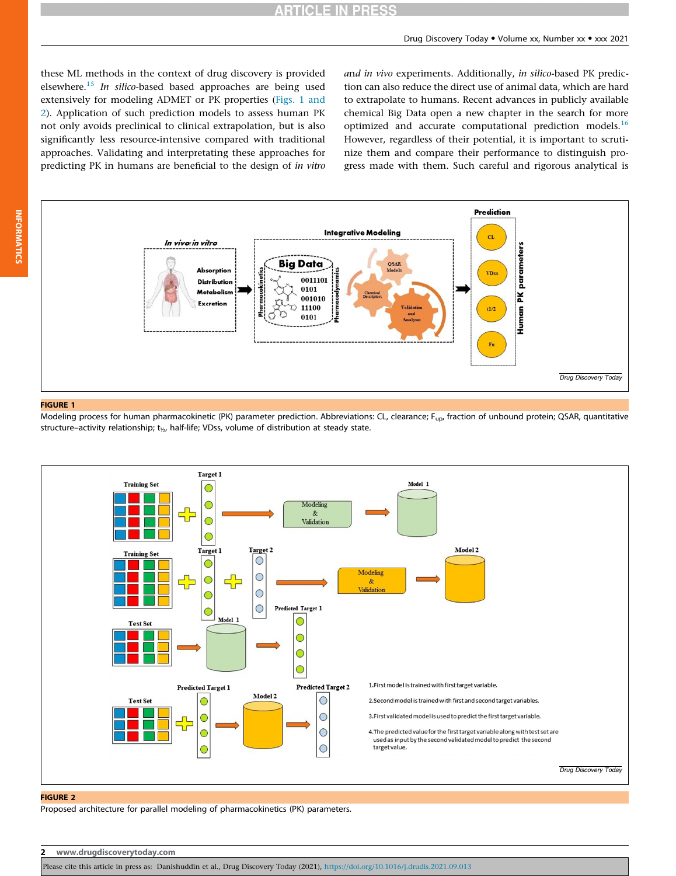## **ARTICLE IN PRESS**

<span id="page-1-0"></span>these ML methods in the context of drug discovery is provided elsewhere.<sup>15</sup> In silico-based based approaches are being used extensively for modeling ADMET or PK properties (Figs. 1 and 2). Application of such prediction models to assess human PK not only avoids preclinical to clinical extrapolation, but is also significantly less resource-intensive compared with traditional approaches. Validating and interpretating these approaches for predicting PK in humans are beneficial to the design of in vitro and in vivo experiments. Additionally, in silico-based PK prediction can also reduce the direct use of animal data, which are hard to extrapolate to humans. Recent advances in publicly available chemical Big Data open a new chapter in the search for more optimized and accurate computational prediction models.<sup>[16](#page-7-0)</sup> However, regardless of their potential, it is important to scrutinize them and compare their performance to distinguish progress made with them. Such careful and rigorous analytical is



#### FIGURE 1

INFORMATICS

**INFORMATICS** 

Modeling process for human pharmacokinetic (PK) parameter prediction. Abbreviations: CL, clearance; F<sub>up</sub>, fraction of unbound protein; QSAR, quantitative structure–activity relationship; t<sub>1/2</sub>, half-life; VDss, volume of distribution at steady state.



#### FIGURE 2

Proposed architecture for parallel modeling of pharmacokinetics (PK) parameters.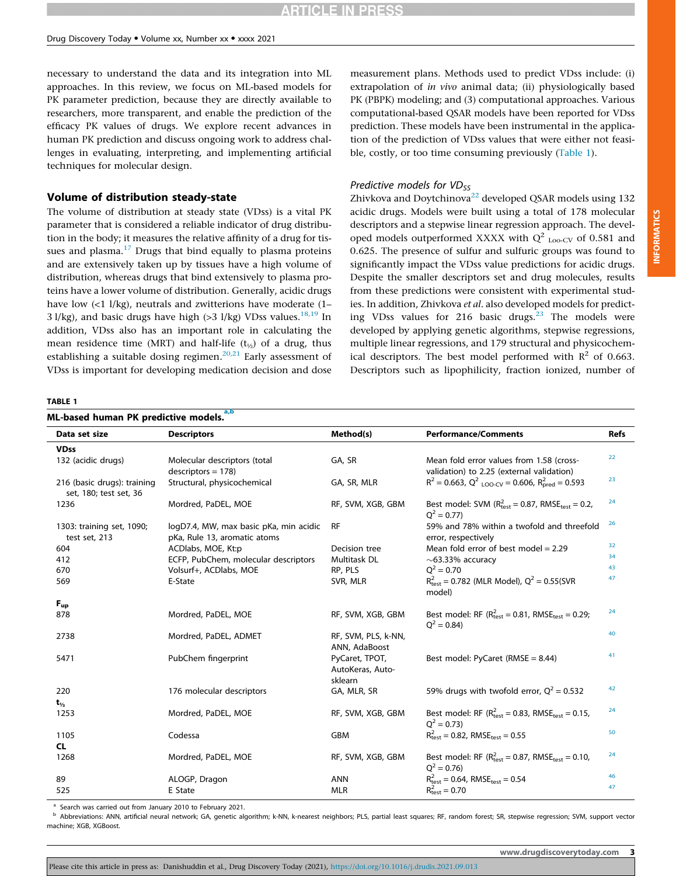necessary to understand the data and its integration into ML approaches. In this review, we focus on ML-based models for PK parameter prediction, because they are directly available to researchers, more transparent, and enable the prediction of the efficacy PK values of drugs. We explore recent advances in human PK prediction and discuss ongoing work to address challenges in evaluating, interpreting, and implementing artificial techniques for molecular design.

#### Volume of distribution steady-state

The volume of distribution at steady state (VDss) is a vital PK parameter that is considered a reliable indicator of drug distribution in the body; it measures the relative affinity of a drug for tissues and plasma. $17$  Drugs that bind equally to plasma proteins and are extensively taken up by tissues have a high volume of distribution, whereas drugs that bind extensively to plasma proteins have a lower volume of distribution. Generally, acidic drugs have low (<1 l/kg), neutrals and zwitterions have moderate (1– 3 l/kg), and basic drugs have high (>3 l/kg) VDss values.<sup>[18,19](#page-7-0)</sup> In addition, VDss also has an important role in calculating the mean residence time (MRT) and half-life  $(t_{1/2})$  of a drug, thus establishing a suitable dosing regimen.<sup>[20,21](#page-7-0)</sup> Early assessment of VDss is important for developing medication decision and dose measurement plans. Methods used to predict VDss include: (i) extrapolation of in vivo animal data; (ii) physiologically based PK (PBPK) modeling; and (3) computational approaches. Various computational-based QSAR models have been reported for VDss prediction. These models have been instrumental in the application of the prediction of VDss values that were either not feasible, costly, or too time consuming previously (Table 1).

#### Predictive models for  $VD_{SS}$

Zhivkova and Doytchinova<sup>[22](#page-7-0)</sup> developed QSAR models using  $132$ acidic drugs. Models were built using a total of 178 molecular descriptors and a stepwise linear regression approach. The developed models outperformed XXXX with  $Q^2$ <sub>Loo-CV</sub> of 0.581 and 0.625. The presence of sulfur and sulfuric groups was found to significantly impact the VDss value predictions for acidic drugs. Despite the smaller descriptors set and drug molecules, results from these predictions were consistent with experimental studies. In addition, Zhivkova et al. also developed models for predicting VDss values for 216 basic drugs. $23$  The models were developed by applying genetic algorithms, stepwise regressions, multiple linear regressions, and 179 structural and physicochemical descriptors. The best model performed with  $R^2$  of 0.663. Descriptors such as lipophilicity, fraction ionized, number of

#### TABLE 1

| Data set size                                         | <b>Descriptors</b>                                                     | Method(s)                                     | <b>Performance/Comments</b>                                                                | <b>Refs</b> |
|-------------------------------------------------------|------------------------------------------------------------------------|-----------------------------------------------|--------------------------------------------------------------------------------------------|-------------|
| <b>VDss</b>                                           |                                                                        |                                               |                                                                                            |             |
| 132 (acidic drugs)                                    | Molecular descriptors (total<br>$descriptors = 178$                    | GA, SR                                        | Mean fold error values from 1.58 (cross-<br>validation) to 2.25 (external validation)      | 22          |
| 216 (basic drugs): training<br>set, 180; test set, 36 | Structural, physicochemical                                            | GA, SR, MLR                                   | $R^2 = 0.663$ , $Q^2$ <sub>LOO-CV</sub> = 0.606, $R^2_{\text{pred}} = 0.593$               | 23          |
| 1236                                                  | Mordred, PaDEL, MOE                                                    | RF, SVM, XGB, GBM                             | Best model: SVM ( $R_{test}^2$ = 0.87, RMSE <sub>test</sub> = 0.2,<br>$Q^2 = 0.77$         | 24          |
| 1303: training set, 1090;<br>test set, 213            | logD7.4, MW, max basic pKa, min acidic<br>pKa, Rule 13, aromatic atoms | <b>RF</b>                                     | 59% and 78% within a twofold and threefold<br>error, respectively                          | 26          |
| 604                                                   | ACDlabs, MOE, Kt:p                                                     | Decision tree                                 | Mean fold error of best model = $2.29$                                                     | 32          |
| 412                                                   | ECFP, PubChem, molecular descriptors                                   | Multitask DL                                  | $\sim$ 63.33% accuracy                                                                     | 34          |
| 670                                                   | Volsurf+, ACDlabs, MOE                                                 | RP, PLS                                       | $Q^2 = 0.70$                                                                               | 43          |
| 569                                                   | E-State                                                                | SVR, MLR                                      | $R_{test}^2 = 0.782$ (MLR Model), $Q^2 = 0.55$ (SVR<br>model)                              | 47          |
| $F_{up}$                                              |                                                                        |                                               |                                                                                            |             |
| 878                                                   | Mordred, PaDEL, MOE                                                    | RF, SVM, XGB, GBM                             | Best model: RF ( $R_{test}^2$ = 0.81, RMSE <sub>test</sub> = 0.29;<br>$Q^2 = 0.84$         | 24          |
| 2738                                                  | Mordred, PaDEL, ADMET                                                  | RF, SVM, PLS, k-NN,<br>ANN, AdaBoost          |                                                                                            | 40          |
| 5471                                                  | PubChem fingerprint                                                    | PyCaret, TPOT,<br>AutoKeras, Auto-<br>sklearn | Best model: PyCaret (RMSE = 8.44)                                                          | 41          |
| 220                                                   | 176 molecular descriptors                                              | GA, MLR, SR                                   | 59% drugs with twofold error, $Q^2 = 0.532$                                                | 42          |
| $t_{\nu_2}$                                           |                                                                        |                                               |                                                                                            |             |
| 1253                                                  | Mordred, PaDEL, MOE                                                    | RF, SVM, XGB, GBM                             | Best model: RF ( $R_{\text{test}}^2 = 0.83$ , RMSE <sub>test</sub> = 0.15,<br>$Q^2 = 0.73$ | 24          |
| 1105                                                  | Codessa                                                                | GBM                                           | $R_{\text{test}}^2 = 0.82$ , RMSE <sub>test</sub> = 0.55                                   | 50          |
| CL.                                                   |                                                                        |                                               |                                                                                            |             |
| 1268                                                  | Mordred, PaDEL, MOE                                                    | RF, SVM, XGB, GBM                             | Best model: RF ( $R_{test}^2$ = 0.87, RMSE <sub>test</sub> = 0.10,<br>$Q^2 = 0.76$         | 24          |
| 89                                                    | ALOGP, Dragon                                                          | <b>ANN</b>                                    | $R_{\text{test}}^2 = 0.64$ , RMSE <sub>test</sub> = 0.54                                   | 46          |
| 525                                                   | E State                                                                | <b>MLR</b>                                    | $R_{\text{test}}^2 = 0.70$                                                                 | 47          |

<sup>a</sup> Search was carried out from January 2010 to February 2021.

<sup>b</sup> Abbreviations: ANN, artificial neural network; GA, genetic algorithm; k-NN, k-nearest neighbors; PLS, partial least squares; RF, random forest; SR, stepwise regression; SVM, support vector machine; XGB, XGBoost.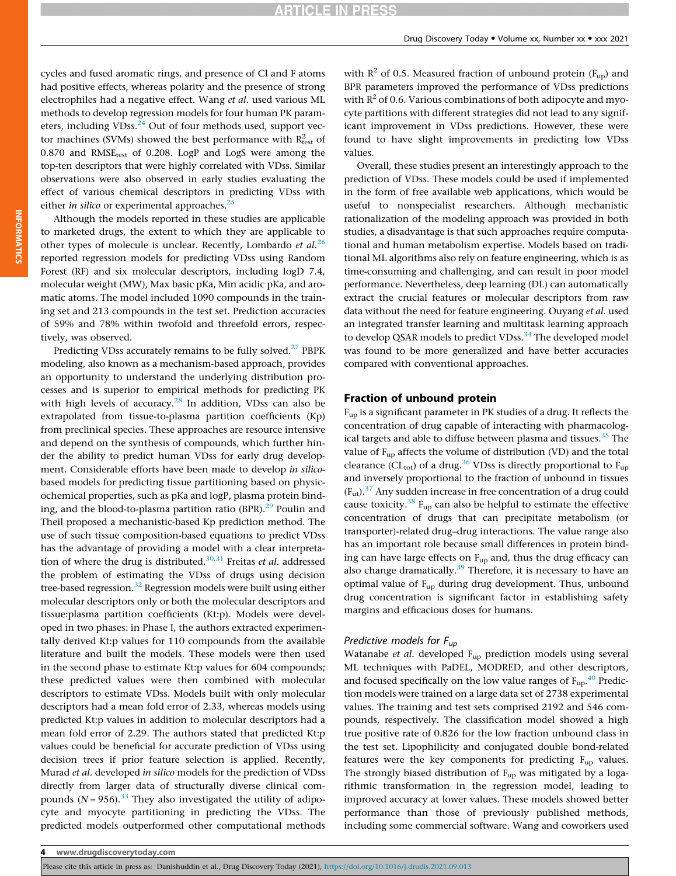## **ARTICLE IN PRESS**

cycles and fused aromatic rings, and presence of Cl and F atoms had positive effects, whereas polarity and the presence of strong electrophiles had a negative effect. Wang et al. used various ML methods to develop regression models for four human PK param-eters, including VDss.<sup>[24](#page-7-0)</sup> Out of four methods used, support vector machines (SVMs) showed the best performance with  $R^2_{\text{test}}$  of 0.870 and RMSE<sub>test</sub> of 0.208. LogP and LogS were among the top-ten descriptors that were highly correlated with VDss. Similar observations were also observed in early studies evaluating the effect of various chemical descriptors in predicting VDss with either in silico or experimental approaches. $^{25}$  $^{25}$  $^{25}$ 

Although the models reported in these studies are applicable to marketed drugs, the extent to which they are applicable to other types of molecule is unclear. Recently, Lombardo *et al.*<sup>[26](#page-7-0)</sup> reported regression models for predicting VDss using Random Forest (RF) and six molecular descriptors, including logD 7.4, molecular weight (MW), Max basic pKa, Min acidic pKa, and aromatic atoms. The model included 1090 compounds in the training set and 213 compounds in the test set. Prediction accuracies of 59% and 78% within twofold and threefold errors, respectively, was observed.

Predicting VDss accurately remains to be fully solved.<sup>[27](#page-7-0)</sup> PBPK modeling, also known as a mechanism-based approach, provides an opportunity to understand the underlying distribution processes and is superior to empirical methods for predicting PK with high levels of accuracy.<sup>[28](#page-7-0)</sup> In addition, VDss can also be extrapolated from tissue-to-plasma partition coefficients (Kp) from preclinical species. These approaches are resource intensive and depend on the synthesis of compounds, which further hinder the ability to predict human VDss for early drug development. Considerable efforts have been made to develop in silicobased models for predicting tissue partitioning based on physicochemical properties, such as pKa and logP, plasma protein binding, and the blood-to-plasma partition ratio  $(BPR).^{29}$  Poulin and Theil proposed a mechanistic-based Kp prediction method. The use of such tissue composition-based equations to predict VDss has the advantage of providing a model with a clear interpreta-tion of where the drug is distributed.<sup>[30,31](#page-7-0)</sup> Freitas et al. addressed the problem of estimating the VDss of drugs using decision tree-based regression.<sup>[32](#page-7-0)</sup> Regression models were built using either molecular descriptors only or both the molecular descriptors and tissue:plasma partition coefficients (Kt:p). Models were developed in two phases: in Phase I, the authors extracted experimentally derived Kt:p values for 110 compounds from the available literature and built the models. These models were then used in the second phase to estimate Kt:p values for 604 compounds; these predicted values were then combined with molecular descriptors to estimate VDss. Models built with only molecular descriptors had a mean fold error of 2.33, whereas models using predicted Kt:p values in addition to molecular descriptors had a mean fold error of 2.29. The authors stated that predicted Kt:p values could be beneficial for accurate prediction of VDss using decision trees if prior feature selection is applied. Recently, Murad et al. developed in silico models for the prediction of VDss directly from larger data of structurally diverse clinical compounds  $(N = 956).^{33}$  $(N = 956).^{33}$  $(N = 956).^{33}$  They also investigated the utility of adipocyte and myocyte partitioning in predicting the VDss. The predicted models outperformed other computational methods

with  $R^2$  of 0.5. Measured fraction of unbound protein ( $F_{up}$ ) and BPR parameters improved the performance of VDss predictions with  $R^2$  of 0.6. Various combinations of both adipocyte and myocyte partitions with different strategies did not lead to any significant improvement in VDss predictions. However, these were found to have slight improvements in predicting low VDss values.

Overall, these studies present an interestingly approach to the prediction of VDss. These models could be used if implemented in the form of free available web applications, which would be useful to nonspecialist researchers. Although mechanistic rationalization of the modeling approach was provided in both studies, a disadvantage is that such approaches require computational and human metabolism expertise. Models based on traditional ML algorithms also rely on feature engineering, which is as time-consuming and challenging, and can result in poor model performance. Nevertheless, deep learning (DL) can automatically extract the crucial features or molecular descriptors from raw data without the need for feature engineering. Ouyang et al. used an integrated transfer learning and multitask learning approach to develop QSAR models to predict VDss.<sup>[34](#page-7-0)</sup> The developed model was found to be more generalized and have better accuracies compared with conventional approaches.

#### Fraction of unbound protein

Fup is a significant parameter in PK studies of a drug. It reflects the concentration of drug capable of interacting with pharmacolog-ical targets and able to diffuse between plasma and tissues.<sup>[35](#page-7-0)</sup> The value of  $F_{\text{un}}$  affects the volume of distribution (VD) and the total clearance (CL<sub>tot</sub>) of a drug.<sup>[36](#page-7-0)</sup> VDss is directly proportional to F<sub>up</sub> and inversely proportional to the fraction of unbound in tissues  $(F<sub>ut</sub>)$ .<sup>[37](#page-7-0)</sup> Any sudden increase in free concentration of a drug could cause toxicity.<sup>[38](#page-7-0)</sup>  $F_{up}$  can also be helpful to estimate the effective concentration of drugs that can precipitate metabolism (or transporter)-related drug–drug interactions. The value range also has an important role because small differences in protein binding can have large effects on  $F_{up}$  and, thus the drug efficacy can also change dramatically.<sup>39</sup> Therefore, it is necessary to have an optimal value of F<sub>up</sub> during drug development. Thus, unbound drug concentration is significant factor in establishing safety margins and efficacious doses for humans.

#### Predictive models for  $F_{up}$

Watanabe et al. developed  $F_{up}$  prediction models using several ML techniques with PaDEL, MODRED, and other descriptors, and focused specifically on the low value ranges of  $F_{up}^{40}$  $F_{up}^{40}$  $F_{up}^{40}$  Prediction models were trained on a large data set of 2738 experimental values. The training and test sets comprised 2192 and 546 compounds, respectively. The classification model showed a high true positive rate of 0.826 for the low fraction unbound class in the test set. Lipophilicity and conjugated double bond-related features were the key components for predicting  $F_{up}$  values. The strongly biased distribution of  $F_{up}$  was mitigated by a logarithmic transformation in the regression model, leading to improved accuracy at lower values. These models showed better performance than those of previously published methods, including some commercial software. Wang and coworkers used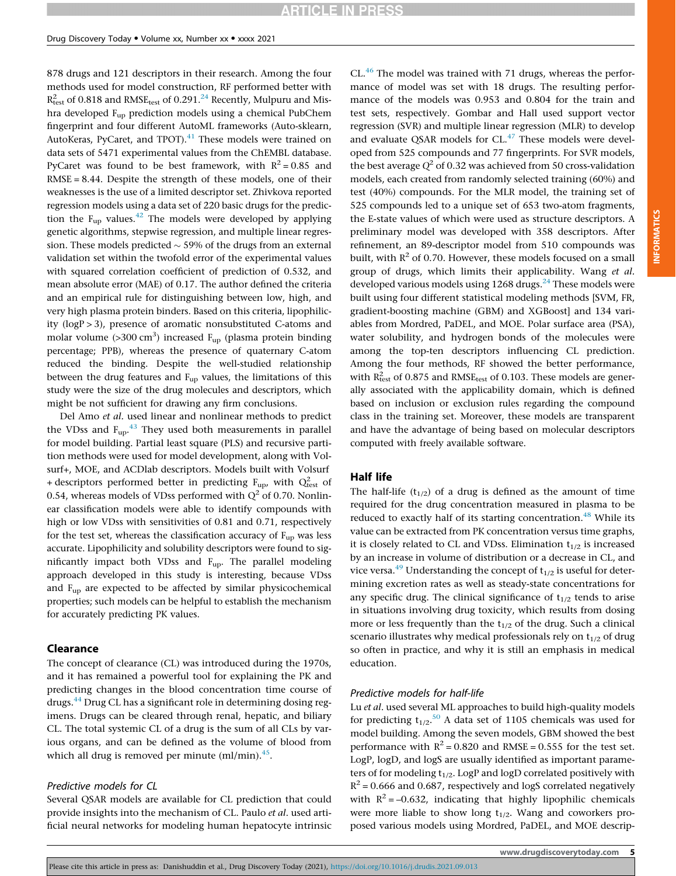878 drugs and 121 descriptors in their research. Among the four methods used for model construction, RF performed better with  $R^2_{\text{test}}$  of 0.818 and RMSE $_{\text{test}}$  of 0.291.<sup>[24](#page-7-0)</sup> Recently, Mulpuru and Mishra developed Fup prediction models using a chemical PubChem fingerprint and four different AutoML frameworks (Auto-sklearn, AutoKeras, PyCaret, and TPOT).<sup>[41](#page-7-0)</sup> These models were trained on data sets of 5471 experimental values from the ChEMBL database. PyCaret was found to be best framework, with  $R^2 = 0.85$  and  $RMSE = 8.44$ . Despite the strength of these models, one of their weaknesses is the use of a limited descriptor set. Zhivkova reported regression models using a data set of 220 basic drugs for the prediction the  $F_{\text{up}}$  values.<sup>[42](#page-7-0)</sup> The models were developed by applying genetic algorithms, stepwise regression, and multiple linear regression. These models predicted  $\sim$  59% of the drugs from an external validation set within the twofold error of the experimental values with squared correlation coefficient of prediction of 0.532, and mean absolute error (MAE) of 0.17. The author defined the criteria and an empirical rule for distinguishing between low, high, and very high plasma protein binders. Based on this criteria, lipophilicity (logP > 3), presence of aromatic nonsubstituted C-atoms and molar volume (>300 cm<sup>3</sup>) increased  $F_{up}$  (plasma protein binding percentage; PPB), whereas the presence of quaternary C-atom reduced the binding. Despite the well-studied relationship between the drug features and  $F_{up}$  values, the limitations of this study were the size of the drug molecules and descriptors, which might be not sufficient for drawing any firm conclusions.

Del Amo et al. used linear and nonlinear methods to predict the VDss and  $F_{up}$ .<sup>[43](#page-7-0)</sup> They used both measurements in parallel for model building. Partial least square (PLS) and recursive partition methods were used for model development, along with Volsurf+, MOE, and ACDlab descriptors. Models built with Volsurf + descriptors performed better in predicting  $F_{\text{up}}$ , with  $Q_{\text{test}}^2$  of 0.54, whereas models of VDss performed with  $Q^2$  of 0.70. Nonlinear classification models were able to identify compounds with high or low VDss with sensitivities of 0.81 and 0.71, respectively for the test set, whereas the classification accuracy of  $F_{up}$  was less accurate. Lipophilicity and solubility descriptors were found to significantly impact both VDss and Fup. The parallel modeling approach developed in this study is interesting, because VDss and Fup are expected to be affected by similar physicochemical properties; such models can be helpful to establish the mechanism for accurately predicting PK values.

#### Clearance

The concept of clearance (CL) was introduced during the 1970s, and it has remained a powerful tool for explaining the PK and predicting changes in the blood concentration time course of drugs.<sup>[44](#page-7-0)</sup> Drug CL has a significant role in determining dosing regimens. Drugs can be cleared through renal, hepatic, and biliary CL. The total systemic CL of a drug is the sum of all CLs by various organs, and can be defined as the volume of blood from which all drug is removed per minute  $(ml/min).$ <sup>45</sup>.

#### Predictive models for CL

Several QSAR models are available for CL prediction that could provide insights into the mechanism of CL. Paulo et al. used artificial neural networks for modeling human hepatocyte intrinsic CL.<sup>46</sup> The model was trained with 71 drugs, whereas the performance of model was set with 18 drugs. The resulting performance of the models was 0.953 and 0.804 for the train and test sets, respectively. Gombar and Hall used support vector regression (SVR) and multiple linear regression (MLR) to develop and evaluate QSAR models for  $CL$ .<sup>[47](#page-7-0)</sup> These models were developed from 525 compounds and 77 fingerprints. For SVR models, the best average  $Q^2$  of 0.32 was achieved from 50 cross-validation models, each created from randomly selected training (60%) and test (40%) compounds. For the MLR model, the training set of 525 compounds led to a unique set of 653 two-atom fragments, the E-state values of which were used as structure descriptors. A preliminary model was developed with 358 descriptors. After refinement, an 89-descriptor model from 510 compounds was built, with  $R^2$  of 0.70. However, these models focused on a small group of drugs, which limits their applicability. Wang et al. developed various models using  $1268$  drugs.<sup>[24](#page-7-0)</sup> These models were built using four different statistical modeling methods [SVM, FR, gradient-boosting machine (GBM) and XGBoost] and 134 variables from Mordred, PaDEL, and MOE. Polar surface area (PSA), water solubility, and hydrogen bonds of the molecules were among the top-ten descriptors influencing CL prediction. Among the four methods, RF showed the better performance, with  $R_{test}^2$  of 0.875 and RMSE<sub>test</sub> of 0.103. These models are generally associated with the applicability domain, which is defined based on inclusion or exclusion rules regarding the compound class in the training set. Moreover, these models are transparent and have the advantage of being based on molecular descriptors computed with freely available software.

#### Half life

The half-life  $(t_{1/2})$  of a drug is defined as the amount of time required for the drug concentration measured in plasma to be reduced to exactly half of its starting concentration.<sup>[48](#page-7-0)</sup> While its value can be extracted from PK concentration versus time graphs, it is closely related to CL and VDss. Elimination  $t_{1/2}$  is increased by an increase in volume of distribution or a decrease in CL, and vice versa.<sup>49</sup> Understanding the concept of  $t_{1/2}$  is useful for determining excretion rates as well as steady-state concentrations for any specific drug. The clinical significance of  $t_{1/2}$  tends to arise in situations involving drug toxicity, which results from dosing more or less frequently than the  $t_{1/2}$  of the drug. Such a clinical scenario illustrates why medical professionals rely on  $t_{1/2}$  of drug so often in practice, and why it is still an emphasis in medical education.

#### Predictive models for half-life

Lu et al. used several ML approaches to build high-quality models for predicting  $t_{1/2}$ .<sup>[50](#page-7-0)</sup> A data set of 1105 chemicals was used for model building. Among the seven models, GBM showed the best performance with  $R^2 = 0.820$  and RMSE = 0.555 for the test set. LogP, logD, and logS are usually identified as important parameters of for modeling  $t_{1/2}$ . LogP and logD correlated positively with  $R^2$  = 0.666 and 0.687, respectively and logS correlated negatively with  $R^2 = -0.632$ , indicating that highly lipophilic chemicals were more liable to show long  $t_{1/2}$ . Wang and coworkers proposed various models using Mordred, PaDEL, and MOE descrip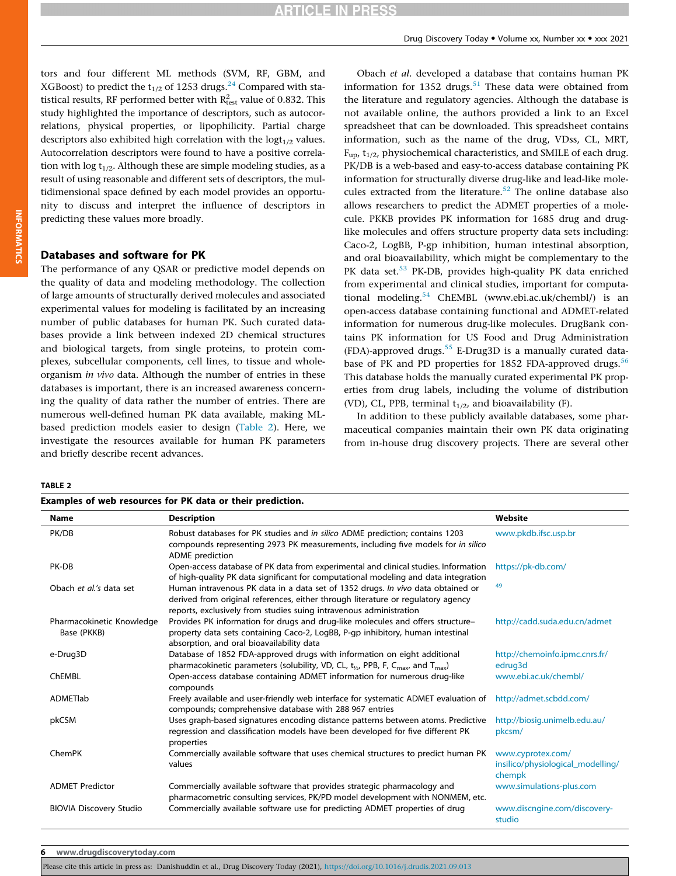tors and four different ML methods (SVM, RF, GBM, and XGBoost) to predict the t<sub>1/2</sub> of 1253 drugs.<sup>[24](#page-7-0)</sup> Compared with statistical results, RF performed better with  $R_{\text{test}}^2$  value of 0.832. This study highlighted the importance of descriptors, such as autocorrelations, physical properties, or lipophilicity. Partial charge descriptors also exhibited high correlation with the  $logt_{1/2}$  values. Autocorrelation descriptors were found to have a positive correlation with  $\log t_{1/2}$ . Although these are simple modeling studies, as a result of using reasonable and different sets of descriptors, the multidimensional space defined by each model provides an opportunity to discuss and interpret the influence of descriptors in predicting these values more broadly.

### Databases and software for PK

The performance of any QSAR or predictive model depends on the quality of data and modeling methodology. The collection of large amounts of structurally derived molecules and associated experimental values for modeling is facilitated by an increasing number of public databases for human PK. Such curated databases provide a link between indexed 2D chemical structures and biological targets, from single proteins, to protein complexes, subcellular components, cell lines, to tissue and wholeorganism in vivo data. Although the number of entries in these databases is important, there is an increased awareness concerning the quality of data rather the number of entries. There are numerous well-defined human PK data available, making MLbased prediction models easier to design (Table 2). Here, we investigate the resources available for human PK parameters and briefly describe recent advances.

Examples of web resources for PK data or their prediction.

Obach et al. developed a database that contains human PK information for 1352 drugs.<sup>51</sup> These data were obtained from the literature and regulatory agencies. Although the database is not available online, the authors provided a link to an Excel spreadsheet that can be downloaded. This spreadsheet contains information, such as the name of the drug, VDss, CL, MRT,  $F<sub>un</sub>$ ,  $t<sub>1/2</sub>$ , physiochemical characteristics, and SMILE of each drug. PK/DB is a web-based and easy-to-access database containing PK information for structurally diverse drug-like and lead-like mole-cules extracted from the literature.<sup>[52](#page-7-0)</sup> The online database also allows researchers to predict the ADMET properties of a molecule. PKKB provides PK information for 1685 drug and druglike molecules and offers structure property data sets including: Caco-2, LogBB, P-gp inhibition, human intestinal absorption, and oral bioavailability, which might be complementary to the PK data set.<sup>[53](#page-7-0)</sup> PK-DB, provides high-quality PK data enriched from experimental and clinical studies, important for computational modeling.[54](#page-7-0) ChEMBL (www.ebi.ac.uk/chembl/) is an open-access database containing functional and ADMET-related information for numerous drug-like molecules. DrugBank contains PK information for US Food and Drug Administration (FDA)-approved drugs.<sup>[55](#page-7-0)</sup> E-Drug3D is a manually curated data-base of PK and PD properties for 1852 FDA-approved drugs.<sup>[56](#page-7-0)</sup> This database holds the manually curated experimental PK properties from drug labels, including the volume of distribution (VD), CL, PPB, terminal  $t_{1/2}$ , and bioavailability (F).

In addition to these publicly available databases, some pharmaceutical companies maintain their own PK data originating from in-house drug discovery projects. There are several other

#### TABLE 2

| Name                                     | <b>Description</b>                                                                                                                                                                                                                        | Website                                                          |
|------------------------------------------|-------------------------------------------------------------------------------------------------------------------------------------------------------------------------------------------------------------------------------------------|------------------------------------------------------------------|
| PK/DB                                    | Robust databases for PK studies and in silico ADME prediction; contains 1203<br>compounds representing 2973 PK measurements, including five models for in silico<br><b>ADME</b> prediction                                                | www.pkdb.ifsc.usp.br                                             |
| PK-DB                                    | Open-access database of PK data from experimental and clinical studies. Information<br>of high-quality PK data significant for computational modeling and data integration                                                                | https://pk-db.com/                                               |
| Obach et al.'s data set                  | Human intravenous PK data in a data set of 1352 drugs. In vivo data obtained or<br>derived from original references, either through literature or regulatory agency<br>reports, exclusively from studies suing intravenous administration | 49                                                               |
| Pharmacokinetic Knowledge<br>Base (PKKB) | Provides PK information for drugs and drug-like molecules and offers structure-<br>property data sets containing Caco-2, LogBB, P-gp inhibitory, human intestinal<br>absorption, and oral bioavailability data                            | http://cadd.suda.edu.cn/admet                                    |
| e-Drug3D                                 | Database of 1852 FDA-approved drugs with information on eight additional<br>pharmacokinetic parameters (solubility, VD, CL, $t_{1/2}$ , PPB, F, C <sub>max</sub> , and T <sub>max</sub> )                                                 | http://chemoinfo.ipmc.cnrs.fr/<br>edrug3d                        |
| ChEMBL                                   | Open-access database containing ADMET information for numerous drug-like<br>compounds                                                                                                                                                     | www.ebi.ac.uk/chembl/                                            |
| <b>ADMETIab</b>                          | Freely available and user-friendly web interface for systematic ADMET evaluation of<br>compounds; comprehensive database with 288 967 entries                                                                                             | http://admet.scbdd.com/                                          |
| pkCSM                                    | Uses graph-based signatures encoding distance patterns between atoms. Predictive<br>regression and classification models have been developed for five different PK<br>properties                                                          | http://biosig.unimelb.edu.au/<br>pkcsm/                          |
| ChemPK                                   | Commercially available software that uses chemical structures to predict human PK<br>values                                                                                                                                               | www.cyprotex.com/<br>insilico/physiological_modelling/<br>chempk |
| <b>ADMET Predictor</b>                   | Commercially available software that provides strategic pharmacology and<br>pharmacometric consulting services, PK/PD model development with NONMEM, etc.                                                                                 | www.simulations-plus.com                                         |
| <b>BIOVIA Discovery Studio</b>           | Commercially available software use for predicting ADMET properties of drug                                                                                                                                                               | www.discngine.com/discovery-<br>studio                           |

6 www.drugdiscoverytoday.com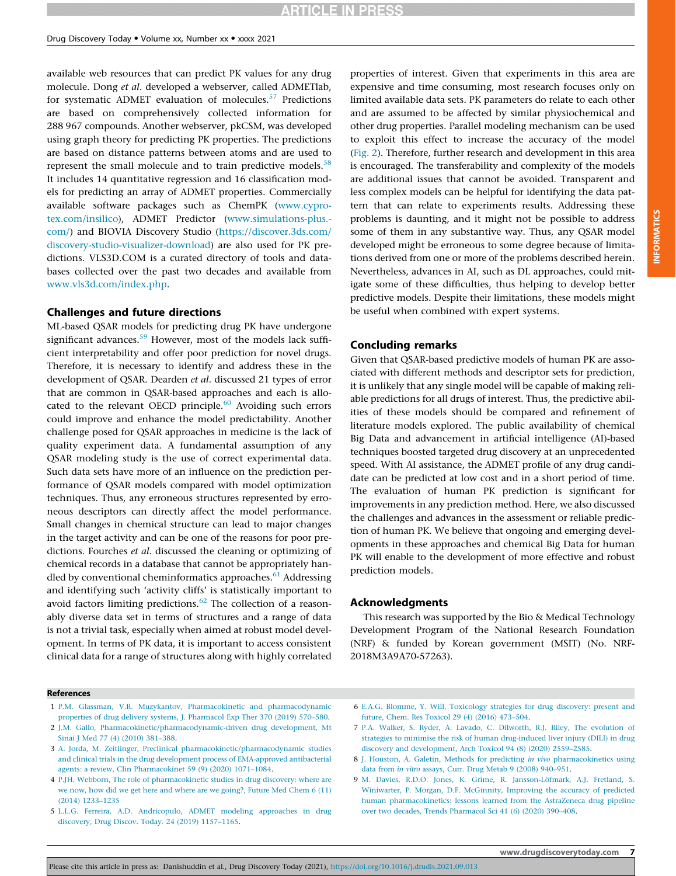<span id="page-6-0"></span>available web resources that can predict PK values for any drug molecule. Dong et al. developed a webserver, called ADMETlab, for systematic ADMET evaluation of molecules.<sup>[57](#page-8-0)</sup> Predictions are based on comprehensively collected information for 288 967 compounds. Another webserver, pkCSM, was developed using graph theory for predicting PK properties. The predictions are based on distance patterns between atoms and are used to represent the small molecule and to train predictive models.<sup>[58](#page-8-0)</sup> It includes 14 quantitative regression and 16 classification models for predicting an array of ADMET properties. Commercially available software packages such as ChemPK [\(www.cypro](http://www.cyprotex.com/insilico)[tex.com/insilico](http://www.cyprotex.com/insilico)), ADMET Predictor [\(www.simulations-plus.](http://www.simulations-plus.com/) [com/](http://www.simulations-plus.com/)) and BIOVIA Discovery Studio [\(https://discover.3ds.com/](https://discover.3ds.com/discovery-studio-visualizer-download) [discovery-studio-visualizer-download\)](https://discover.3ds.com/discovery-studio-visualizer-download) are also used for PK predictions. VLS3D.COM is a curated directory of tools and databases collected over the past two decades and available from [www.vls3d.com/index.php](http://www.vls3d.com/index.php).

#### Challenges and future directions

ML-based QSAR models for predicting drug PK have undergone significant advances.<sup>[59](#page-8-0)</sup> However, most of the models lack sufficient interpretability and offer poor prediction for novel drugs. Therefore, it is necessary to identify and address these in the development of QSAR. Dearden et al. discussed 21 types of error that are common in QSAR-based approaches and each is allocated to the relevant OECD principle. $60$  Avoiding such errors could improve and enhance the model predictability. Another challenge posed for QSAR approaches in medicine is the lack of quality experiment data. A fundamental assumption of any QSAR modeling study is the use of correct experimental data. Such data sets have more of an influence on the prediction performance of QSAR models compared with model optimization techniques. Thus, any erroneous structures represented by erroneous descriptors can directly affect the model performance. Small changes in chemical structure can lead to major changes in the target activity and can be one of the reasons for poor predictions. Fourches et al. discussed the cleaning or optimizing of chemical records in a database that cannot be appropriately handled by conventional cheminformatics approaches.<sup>61</sup> Addressing and identifying such 'activity cliffs' is statistically important to avoid factors limiting predictions. $62$  The collection of a reasonably diverse data set in terms of structures and a range of data is not a trivial task, especially when aimed at robust model development. In terms of PK data, it is important to access consistent clinical data for a range of structures along with highly correlated

#### References

- 1 [P.M. Glassman, V.R. Muzykantov, Pharmacokinetic and pharmacodynamic](http://refhub.elsevier.com/S1359-6446(21)00407-4/h0005) [properties of drug delivery systems, J. Pharmacol Exp Ther 370 \(2019\) 570](http://refhub.elsevier.com/S1359-6446(21)00407-4/h0005)–580.
- 2 [J.M. Gallo, Pharmacokinetic/pharmacodynamic-driven drug development, Mt](http://refhub.elsevier.com/S1359-6446(21)00407-4/h0010) [Sinai J Med 77 \(4\) \(2010\) 381](http://refhub.elsevier.com/S1359-6446(21)00407-4/h0010)–388.
- 3 [A. Jorda, M. Zeitlinger, Preclinical pharmacokinetic/pharmacodynamic studies](http://refhub.elsevier.com/S1359-6446(21)00407-4/h0015) [and clinical trials in the drug development process of EMA-approved antibacterial](http://refhub.elsevier.com/S1359-6446(21)00407-4/h0015) [agents: a review, Clin Pharmacokinet 59 \(9\) \(2020\) 1071](http://refhub.elsevier.com/S1359-6446(21)00407-4/h0015)–1084.
- 4 [P.JH. Webborn, The role of pharmacokinetic studies in drug discovery: where are](http://refhub.elsevier.com/S1359-6446(21)00407-4/h0020) [we now, how did we get here and where are we going?, Future Med Chem 6 \(11\)](http://refhub.elsevier.com/S1359-6446(21)00407-4/h0020) [\(2014\) 1233](http://refhub.elsevier.com/S1359-6446(21)00407-4/h0020)–1235
- 5 [L.L.G. Ferreira, A.D. Andricopulo, ADMET modeling approaches in drug](http://refhub.elsevier.com/S1359-6446(21)00407-4/h0025) [discovery, Drug Discov. Today. 24 \(2019\) 1157](http://refhub.elsevier.com/S1359-6446(21)00407-4/h0025)–1165.

properties of interest. Given that experiments in this area are expensive and time consuming, most research focuses only on limited available data sets. PK parameters do relate to each other and are assumed to be affected by similar physiochemical and other drug properties. Parallel modeling mechanism can be used to exploit this effect to increase the accuracy of the model [\(Fig. 2\)](#page-1-0). Therefore, further research and development in this area is encouraged. The transferability and complexity of the models are additional issues that cannot be avoided. Transparent and less complex models can be helpful for identifying the data pattern that can relate to experiments results. Addressing these problems is daunting, and it might not be possible to address some of them in any substantive way. Thus, any QSAR model developed might be erroneous to some degree because of limitations derived from one or more of the problems described herein. Nevertheless, advances in AI, such as DL approaches, could mitigate some of these difficulties, thus helping to develop better predictive models. Despite their limitations, these models might be useful when combined with expert systems.

#### Concluding remarks

Given that QSAR-based predictive models of human PK are associated with different methods and descriptor sets for prediction, it is unlikely that any single model will be capable of making reliable predictions for all drugs of interest. Thus, the predictive abilities of these models should be compared and refinement of literature models explored. The public availability of chemical Big Data and advancement in artificial intelligence (AI)-based techniques boosted targeted drug discovery at an unprecedented speed. With AI assistance, the ADMET profile of any drug candidate can be predicted at low cost and in a short period of time. The evaluation of human PK prediction is significant for improvements in any prediction method. Here, we also discussed the challenges and advances in the assessment or reliable prediction of human PK. We believe that ongoing and emerging developments in these approaches and chemical Big Data for human PK will enable to the development of more effective and robust prediction models.

#### Acknowledgments

This research was supported by the Bio & Medical Technology Development Program of the National Research Foundation (NRF) & funded by Korean government (MSIT) (No. NRF-2018M3A9A70-57263).

- 6 [E.A.G. Blomme, Y. Will, Toxicology strategies for drug discovery: present and](http://refhub.elsevier.com/S1359-6446(21)00407-4/h0030) [future, Chem. Res Toxicol 29 \(4\) \(2016\) 473](http://refhub.elsevier.com/S1359-6446(21)00407-4/h0030)–504.
- 7 [P.A. Walker, S. Ryder, A. Lavado, C. Dilworth, R.J. Riley, The evolution of](http://refhub.elsevier.com/S1359-6446(21)00407-4/h0035) [strategies to minimise the risk of human drug-induced liver injury \(DILI\) in drug](http://refhub.elsevier.com/S1359-6446(21)00407-4/h0035) [discovery and development, Arch Toxicol 94 \(8\) \(2020\) 2559](http://refhub.elsevier.com/S1359-6446(21)00407-4/h0035)–2585.
- 8 [J. Houston, A. Galetin, Methods for predicting](http://refhub.elsevier.com/S1359-6446(21)00407-4/h0040) in vivo pharmacokinetics using data from in vitro [assays, Curr. Drug Metab 9 \(2008\) 940](http://refhub.elsevier.com/S1359-6446(21)00407-4/h0040)–951.
- 9 [M. Davies, R.D.O. Jones, K. Grime, R. Jansson-Löfmark, A.J. Fretland, S.](http://refhub.elsevier.com/S1359-6446(21)00407-4/h0045) [Winiwarter, P. Morgan, D.F. McGinnity, Improving the accuracy of predicted](http://refhub.elsevier.com/S1359-6446(21)00407-4/h0045) [human pharmacokinetics: lessons learned from the AstraZeneca drug pipeline](http://refhub.elsevier.com/S1359-6446(21)00407-4/h0045) [over two decades, Trends Pharmacol Sci 41 \(6\) \(2020\) 390](http://refhub.elsevier.com/S1359-6446(21)00407-4/h0045)–408.

INFORMATICS

**INFORMATICS**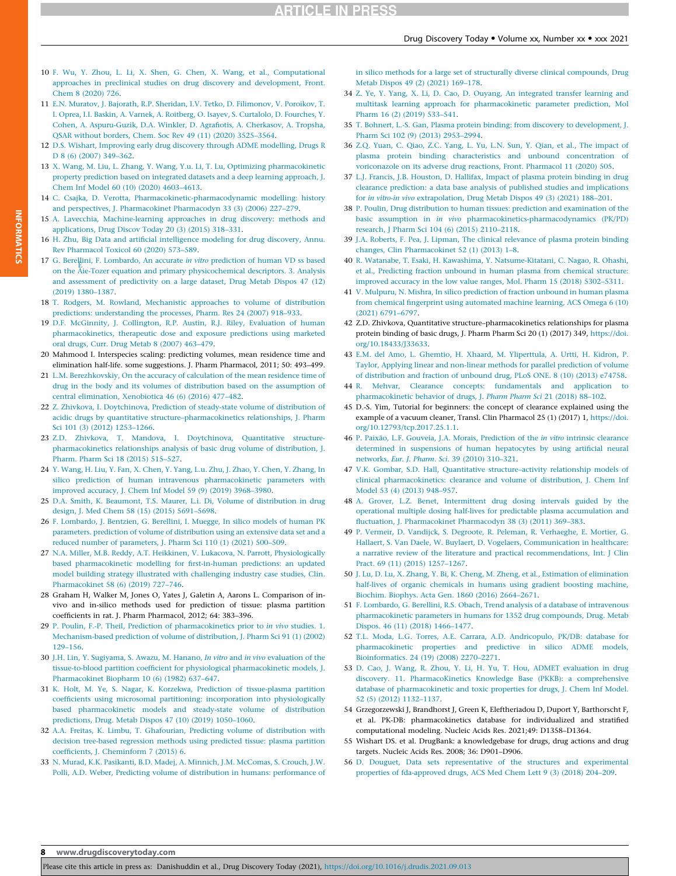- <span id="page-7-0"></span>10 [F. Wu, Y. Zhou, L. Li, X. Shen, G. Chen, X. Wang, et al., Computational](http://refhub.elsevier.com/S1359-6446(21)00407-4/h0050) [approaches in preclinical studies on drug discovery and development, Front.](http://refhub.elsevier.com/S1359-6446(21)00407-4/h0050) [Chem 8 \(2020\) 726](http://refhub.elsevier.com/S1359-6446(21)00407-4/h0050).
- 11 [E.N. Muratov, J. Bajorath, R.P. Sheridan, I.V. Tetko, D. Filimonov, V. Poroikov, T.](http://refhub.elsevier.com/S1359-6446(21)00407-4/h0055) [I. Oprea, I.I. Baskin, A. Varnek, A. Roitberg, O. Isayev, S. Curtalolo, D. Fourches, Y.](http://refhub.elsevier.com/S1359-6446(21)00407-4/h0055) [Cohen, A. Aspuru-Guzik, D.A. Winkler, D. Agra](http://refhub.elsevier.com/S1359-6446(21)00407-4/h0055)fiotis, A. Cherkasov, A. Tropsha, [QSAR without borders, Chem. Soc Rev 49 \(11\) \(2020\) 3525](http://refhub.elsevier.com/S1359-6446(21)00407-4/h0055)–3564.
- 12 [D.S. Wishart, Improving early drug discovery through ADME modelling, Drugs R](http://refhub.elsevier.com/S1359-6446(21)00407-4/h0060) [D 8 \(6\) \(2007\) 349](http://refhub.elsevier.com/S1359-6446(21)00407-4/h0060)-362.
- 13 [X. Wang, M. Liu, L. Zhang, Y. Wang, Y.u. Li, T. Lu, Optimizing pharmacokinetic](http://refhub.elsevier.com/S1359-6446(21)00407-4/h0065) [property prediction based on integrated datasets and a deep learning approach, J.](http://refhub.elsevier.com/S1359-6446(21)00407-4/h0065) [Chem Inf Model 60 \(10\) \(2020\) 4603](http://refhub.elsevier.com/S1359-6446(21)00407-4/h0065)–4613.
- 14 [C. Csajka, D. Verotta, Pharmacokinetic-pharmacodynamic modelling: history](http://refhub.elsevier.com/S1359-6446(21)00407-4/h0070) [and perspectives, J. Pharmacokinet Pharmacodyn 33 \(3\) \(2006\) 227](http://refhub.elsevier.com/S1359-6446(21)00407-4/h0070)–279.
- 15 [A. Lavecchia, Machine-learning approaches in drug discovery: methods and](http://refhub.elsevier.com/S1359-6446(21)00407-4/h0075) [applications, Drug Discov Today 20 \(3\) \(2015\) 318](http://refhub.elsevier.com/S1359-6446(21)00407-4/h0075)–331.
- 16 H. Zhu, Big Data and artifi[cial intelligence modeling for drug discovery, Annu.](http://refhub.elsevier.com/S1359-6446(21)00407-4/h0080) [Rev Pharmacol Toxicol 60 \(2020\) 573](http://refhub.elsevier.com/S1359-6446(21)00407-4/h0080)–589.
- 17 [G. Berellini, F. Lombardo, An accurate](http://refhub.elsevier.com/S1359-6446(21)00407-4/h0085) in vitro prediction of human VD ss based [on the](http://refhub.elsevier.com/S1359-6446(21)00407-4/h0085) A[ie-Tozer equation and primary physicochemical descriptors. 3. Analysis](http://refhub.elsevier.com/S1359-6446(21)00407-4/h0085) [and assessment of predictivity on a large dataset, Drug Metab Dispos 47 \(12\)](http://refhub.elsevier.com/S1359-6446(21)00407-4/h0085) [\(2019\) 1380](http://refhub.elsevier.com/S1359-6446(21)00407-4/h0085)–1387.
- 18 [T. Rodgers, M. Rowland, Mechanistic approaches to volume of distribution](http://refhub.elsevier.com/S1359-6446(21)00407-4/h0090) [predictions: understanding the processes, Pharm. Res 24 \(2007\) 918](http://refhub.elsevier.com/S1359-6446(21)00407-4/h0090)–933.
- 19 [D.F. McGinnity, J. Collington, R.P. Austin, R.J. Riley, Evaluation of human](http://refhub.elsevier.com/S1359-6446(21)00407-4/h0095) [pharmacokinetics, therapeutic dose and exposure predictions using marketed](http://refhub.elsevier.com/S1359-6446(21)00407-4/h0095) [oral drugs, Curr. Drug Metab 8 \(2007\) 463](http://refhub.elsevier.com/S1359-6446(21)00407-4/h0095)–479.
- 20 Mahmood I. Interspecies scaling: predicting volumes, mean residence time and elimination half-life. some suggestions. J. Pharm Pharmacol, 2011; 50: 493–499.
- 21 [L.M. Berezhkovskiy, On the accuracy of calculation of the mean residence time of](http://refhub.elsevier.com/S1359-6446(21)00407-4/h0105) [drug in the body and its volumes of distribution based on the assumption of](http://refhub.elsevier.com/S1359-6446(21)00407-4/h0105) [central elimination, Xenobiotica 46 \(6\) \(2016\) 477](http://refhub.elsevier.com/S1359-6446(21)00407-4/h0105)–482.
- 22 [Z. Zhivkova, I. Doytchinova, Prediction of steady-state volume of distribution of](http://refhub.elsevier.com/S1359-6446(21)00407-4/h0110) acidic drugs by quantitative structure–[pharmacokinetics relationships, J. Pharm](http://refhub.elsevier.com/S1359-6446(21)00407-4/h0110) [Sci 101 \(3\) \(2012\) 1253](http://refhub.elsevier.com/S1359-6446(21)00407-4/h0110)–1266.
- 23 [Z.D. Zhivkova, T. Mandova, I. Doytchinova, Quantitative structure](http://refhub.elsevier.com/S1359-6446(21)00407-4/h0115)[pharmacokinetics relationships analysis of basic drug volume of distribution, J.](http://refhub.elsevier.com/S1359-6446(21)00407-4/h0115) [Pharm. Pharm Sci 18 \(2015\) 515](http://refhub.elsevier.com/S1359-6446(21)00407-4/h0115)–527.
- 24 [Y. Wang, H. Liu, Y. Fan, X. Chen, Y. Yang, L.u. Zhu, J. Zhao, Y. Chen, Y. Zhang, In](http://refhub.elsevier.com/S1359-6446(21)00407-4/h0120) [silico prediction of human intravenous pharmacokinetic parameters with](http://refhub.elsevier.com/S1359-6446(21)00407-4/h0120) [improved accuracy, J. Chem Inf Model 59 \(9\) \(2019\) 3968](http://refhub.elsevier.com/S1359-6446(21)00407-4/h0120)–3980.
- 25 [D.A. Smith, K. Beaumont, T.S. Maurer, L.i. Di, Volume of distribution in drug](http://refhub.elsevier.com/S1359-6446(21)00407-4/h0125) [design, J. Med Chem 58 \(15\) \(2015\) 5691](http://refhub.elsevier.com/S1359-6446(21)00407-4/h0125)–5698.
- 26 [F. Lombardo, J. Bentzien, G. Berellini, I. Muegge, In silico models of human PK](http://refhub.elsevier.com/S1359-6446(21)00407-4/h0130) [parameters. prediction of volume of distribution using an extensive data set and a](http://refhub.elsevier.com/S1359-6446(21)00407-4/h0130) [reduced number of parameters, J. Pharm Sci 110 \(1\) \(2021\) 500](http://refhub.elsevier.com/S1359-6446(21)00407-4/h0130)–509.
- 27 [N.A. Miller, M.B. Reddy, A.T. Heikkinen, V. Lukacova, N. Parrott, Physiologically](http://refhub.elsevier.com/S1359-6446(21)00407-4/h0135) based pharmacokinetic modelling for fi[rst-in-human predictions: an updated](http://refhub.elsevier.com/S1359-6446(21)00407-4/h0135) [model building strategy illustrated with challenging industry case studies, Clin.](http://refhub.elsevier.com/S1359-6446(21)00407-4/h0135) [Pharmacokinet 58 \(6\) \(2019\) 727](http://refhub.elsevier.com/S1359-6446(21)00407-4/h0135)–746.
- 28 Graham H, Walker M, Jones O, Yates J, Galetin A, Aarons L. Comparison of invivo and in-silico methods used for prediction of tissue: plasma partition coefficients in rat. J. Pharm Pharmacol, 2012; 64: 383–396.
- 29 [P. Poulin, F.-P. Theil, Prediction of pharmacokinetics prior to](http://refhub.elsevier.com/S1359-6446(21)00407-4/h0145) in vivo studies. 1. [Mechanism-based prediction of volume of distribution, J. Pharm Sci 91 \(1\) \(2002\)](http://refhub.elsevier.com/S1359-6446(21)00407-4/h0145) 129–[156.](http://refhub.elsevier.com/S1359-6446(21)00407-4/h0145)
- 30 [J.H. Lin, Y. Sugiyama, S. Awazu, M. Hanano,](http://refhub.elsevier.com/S1359-6446(21)00407-4/h0150) In vitro and in vivo evaluation of the tissue-to-blood partition coeffi[cient for physiological pharmacokinetic models, J.](http://refhub.elsevier.com/S1359-6446(21)00407-4/h0150) [Pharmacokinet Biopharm 10 \(6\) \(1982\) 637](http://refhub.elsevier.com/S1359-6446(21)00407-4/h0150)–647.
- 31 [K. Holt, M. Ye, S. Nagar, K. Korzekwa, Prediction of tissue-plasma partition](http://refhub.elsevier.com/S1359-6446(21)00407-4/h0155) coeffi[cients using microsomal partitioning: incorporation into physiologically](http://refhub.elsevier.com/S1359-6446(21)00407-4/h0155) [based pharmacokinetic models and steady-state volume of distribution](http://refhub.elsevier.com/S1359-6446(21)00407-4/h0155) [predictions, Drug. Metab Dispos 47 \(10\) \(2019\) 1050](http://refhub.elsevier.com/S1359-6446(21)00407-4/h0155)–1060.
- 32 [A.A. Freitas, K. Limbu, T. Ghafourian, Predicting volume of distribution with](http://refhub.elsevier.com/S1359-6446(21)00407-4/h0160) [decision tree-based regression methods using predicted tissue: plasma partition](http://refhub.elsevier.com/S1359-6446(21)00407-4/h0160) coeffi[cients, J. Cheminform 7 \(2015\) 6.](http://refhub.elsevier.com/S1359-6446(21)00407-4/h0160)
- 33 [N. Murad, K.K. Pasikanti, B.D. Madej, A. Minnich, J.M. McComas, S. Crouch, J.W.](http://refhub.elsevier.com/S1359-6446(21)00407-4/h0165) [Polli, A.D. Weber, Predicting volume of distribution in humans: performance of](http://refhub.elsevier.com/S1359-6446(21)00407-4/h0165)

[in silico methods for a large set of structurally diverse clinical compounds, Drug](http://refhub.elsevier.com/S1359-6446(21)00407-4/h0165) [Metab Dispos 49 \(2\) \(2021\) 169](http://refhub.elsevier.com/S1359-6446(21)00407-4/h0165)–178.

- 34 [Z. Ye, Y. Yang, X. Li, D. Cao, D. Ouyang, An integrated transfer learning and](http://refhub.elsevier.com/S1359-6446(21)00407-4/h0170) [multitask learning approach for pharmacokinetic parameter prediction, Mol](http://refhub.elsevier.com/S1359-6446(21)00407-4/h0170) [Pharm 16 \(2\) \(2019\) 533](http://refhub.elsevier.com/S1359-6446(21)00407-4/h0170)–541.
- 35 [T. Bohnert, L.-S. Gan, Plasma protein binding: from discovery to development, J.](http://refhub.elsevier.com/S1359-6446(21)00407-4/h0175) [Pharm Sci 102 \(9\) \(2013\) 2953](http://refhub.elsevier.com/S1359-6446(21)00407-4/h0175)–2994.
- 36 [Z.Q. Yuan, C. Qiao, Z.C. Yang, L. Yu, L.N. Sun, Y. Qian, et al., The impact of](http://refhub.elsevier.com/S1359-6446(21)00407-4/h0180) [plasma protein binding characteristics and unbound concentration of](http://refhub.elsevier.com/S1359-6446(21)00407-4/h0180) [voriconazole on its adverse drug reactions, Front. Pharmacol 11 \(2020\) 505.](http://refhub.elsevier.com/S1359-6446(21)00407-4/h0180)
- 37 [L.J. Francis, J.B. Houston, D. Hallifax, Impact of plasma protein binding in drug](http://refhub.elsevier.com/S1359-6446(21)00407-4/h0185) [clearance prediction: a data base analysis of published studies and implications](http://refhub.elsevier.com/S1359-6446(21)00407-4/h0185) for in vitro-in vivo [extrapolation, Drug Metab Dispos 49 \(3\) \(2021\) 188](http://refhub.elsevier.com/S1359-6446(21)00407-4/h0185)–201.
- 38 [P. Poulin, Drug distribution to human tissues: prediction and examination of the](http://refhub.elsevier.com/S1359-6446(21)00407-4/h0190) basic assumption in in vivo [pharmacokinetics-pharmacodynamics \(PK/PD\)](http://refhub.elsevier.com/S1359-6446(21)00407-4/h0190) [research, J Pharm Sci 104 \(6\) \(2015\) 2110](http://refhub.elsevier.com/S1359-6446(21)00407-4/h0190)–2118.
- 39 [J.A. Roberts, F. Pea, J. Lipman, The clinical relevance of plasma protein binding](http://refhub.elsevier.com/S1359-6446(21)00407-4/h0195) [changes, Clin Pharmacokinet 52 \(1\) \(2013\) 1](http://refhub.elsevier.com/S1359-6446(21)00407-4/h0195)–8.
- 40 [R. Watanabe, T. Esaki, H. Kawashima, Y. Natsume-Kitatani, C. Nagao, R. Ohashi,](http://refhub.elsevier.com/S1359-6446(21)00407-4/h0200) [et al., Predicting fraction unbound in human plasma from chemical structure:](http://refhub.elsevier.com/S1359-6446(21)00407-4/h0200) [improved accuracy in the low value ranges, Mol. Pharm 15 \(2018\) 5302](http://refhub.elsevier.com/S1359-6446(21)00407-4/h0200)–5311.
- 41 [V. Mulpuru, N. Mishra, In silico prediction of fraction unbound in human plasma](http://refhub.elsevier.com/S1359-6446(21)00407-4/h0205) from chemical fi[ngerprint using automated machine learning, ACS Omega 6 \(10\)](http://refhub.elsevier.com/S1359-6446(21)00407-4/h0205) [\(2021\) 6791](http://refhub.elsevier.com/S1359-6446(21)00407-4/h0205)–6797.
- 42 Z.D. Zhivkova, Quantitative structure–pharmacokinetics relationships for plasma protein binding of basic drugs, J. Pharm Pharm Sci 20 (1) (2017) 349, [https://doi.](https://doi.org/10.18433/J33633) [org/10.18433/J33633.](https://doi.org/10.18433/J33633)
- 43 [E.M. del Amo, L. Ghemtio, H. Xhaard, M. Yliperttula, A. Urtti, H. Kidron, P.](http://refhub.elsevier.com/S1359-6446(21)00407-4/h0215) [Taylor, Applying linear and non-linear methods for parallel prediction of volume](http://refhub.elsevier.com/S1359-6446(21)00407-4/h0215) [of distribution and fraction of unbound drug, PLoS ONE. 8 \(10\) \(2013\) e74758](http://refhub.elsevier.com/S1359-6446(21)00407-4/h0215).
- 44 [R. Mehvar, Clearance concepts: fundamentals and application to](http://refhub.elsevier.com/S1359-6446(21)00407-4/h0220) [pharmacokinetic behavior of drugs, J](http://refhub.elsevier.com/S1359-6446(21)00407-4/h0220). Pharm Pharm Sci 21 (2018) 88–102.
- 45 D.-S. Yim, Tutorial for beginners: the concept of clearance explained using the example of a vacuum cleaner, Transl. Clin Pharmacol 25 (1) (2017) 1, [https://doi.](https://doi.org/10.12793/tcp.2017.25.1.1) [org/10.12793/tcp.2017.25.1.1.](https://doi.org/10.12793/tcp.2017.25.1.1)
- 46 [P. Paixão, L.F. Gouveia, J.A. Morais, Prediction of the](http://refhub.elsevier.com/S1359-6446(21)00407-4/h0230) in vitro intrinsic clearance [determined in suspensions of human hepatocytes by using arti](http://refhub.elsevier.com/S1359-6446(21)00407-4/h0230)ficial neural networks, Eur. J. Pharm. Sci. [39 \(2010\) 310](http://refhub.elsevier.com/S1359-6446(21)00407-4/h0230)–321.
- 47 [V.K. Gombar, S.D. Hall, Quantitative structure](http://refhub.elsevier.com/S1359-6446(21)00407-4/h0235)–activity relationship models of [clinical pharmacokinetics: clearance and volume of distribution, J. Chem Inf](http://refhub.elsevier.com/S1359-6446(21)00407-4/h0235) [Model 53 \(4\) \(2013\) 948](http://refhub.elsevier.com/S1359-6446(21)00407-4/h0235)–957.
- 48 [A. Grover, L.Z. Benet, Intermittent drug dosing intervals guided by the](http://refhub.elsevier.com/S1359-6446(21)00407-4/h0240) [operational multiple dosing half-lives for predictable plasma accumulation and](http://refhub.elsevier.com/S1359-6446(21)00407-4/h0240) fl[uctuation, J. Pharmacokinet Pharmacodyn 38 \(3\) \(2011\) 369](http://refhub.elsevier.com/S1359-6446(21)00407-4/h0240)–383.
- 49 [P. Vermeir, D. Vandijck, S. Degroote, R. Peleman, R. Verhaeghe, E. Mortier, G.](http://refhub.elsevier.com/S1359-6446(21)00407-4/h0245) [Hallaert, S. Van Daele, W. Buylaert, D. Vogelaers, Communication in healthcare:](http://refhub.elsevier.com/S1359-6446(21)00407-4/h0245) [a narrative review of the literature and practical recommendations, Int. J Clin](http://refhub.elsevier.com/S1359-6446(21)00407-4/h0245) [Pract. 69 \(11\) \(2015\) 1257](http://refhub.elsevier.com/S1359-6446(21)00407-4/h0245)–1267.
- 50 [J. Lu, D. Lu, X. Zhang, Y. Bi, K. Cheng, M. Zheng, et al., Estimation of elimination](http://refhub.elsevier.com/S1359-6446(21)00407-4/h0250) [half-lives of organic chemicals in humans using gradient boosting machine,](http://refhub.elsevier.com/S1359-6446(21)00407-4/h0250) [Biochim. Biophys. Acta Gen. 1860 \(2016\) 2664](http://refhub.elsevier.com/S1359-6446(21)00407-4/h0250)–2671.
- 51 [F. Lombardo, G. Berellini, R.S. Obach, Trend analysis of a database of intravenous](http://refhub.elsevier.com/S1359-6446(21)00407-4/h0255) [pharmacokinetic parameters in humans for 1352 drug compounds, Drug. Metab](http://refhub.elsevier.com/S1359-6446(21)00407-4/h0255) [Dispos. 46 \(11\) \(2018\) 1466](http://refhub.elsevier.com/S1359-6446(21)00407-4/h0255)–1477.
- 52 [T.L. Moda, L.G. Torres, A.E. Carrara, A.D. Andricopulo, PK/DB: database for](http://refhub.elsevier.com/S1359-6446(21)00407-4/h0260) [pharmacokinetic properties and predictive in silico ADME models,](http://refhub.elsevier.com/S1359-6446(21)00407-4/h0260) [Bioinformatics. 24 \(19\) \(2008\) 2270](http://refhub.elsevier.com/S1359-6446(21)00407-4/h0260)–2271.
- 53 [D. Cao, J. Wang, R. Zhou, Y. Li, H. Yu, T. Hou, ADMET evaluation in drug](http://refhub.elsevier.com/S1359-6446(21)00407-4/h0265) [discovery. 11. PharmacoKinetics Knowledge Base \(PKKB\): a comprehensive](http://refhub.elsevier.com/S1359-6446(21)00407-4/h0265) [database of pharmacokinetic and toxic properties for drugs, J. Chem Inf Model.](http://refhub.elsevier.com/S1359-6446(21)00407-4/h0265) [52 \(5\) \(2012\) 1132](http://refhub.elsevier.com/S1359-6446(21)00407-4/h0265)–1137.
- 54 Grzegorzewski J, Brandhorst J, Green K, Eleftheriadou D, Duport Y, Barthorscht F, et al. PK-DB: pharmacokinetics database for individualized and stratified computational modeling. Nucleic Acids Res. 2021;49: D1358–D1364.
- 55 Wishart DS. et al. DrugBank: a knowledgebase for drugs, drug actions and drug targets. Nucleic Acids Res. 2008; 36: D901–D906.
- 56 [D. Douguet, Data sets representative of the structures and experimental](http://refhub.elsevier.com/S1359-6446(21)00407-4/h0280) [properties of fda-approved drugs, ACS Med Chem Lett 9 \(3\) \(2018\) 204](http://refhub.elsevier.com/S1359-6446(21)00407-4/h0280)–209.

8 www.drugdiscoverytoday.com